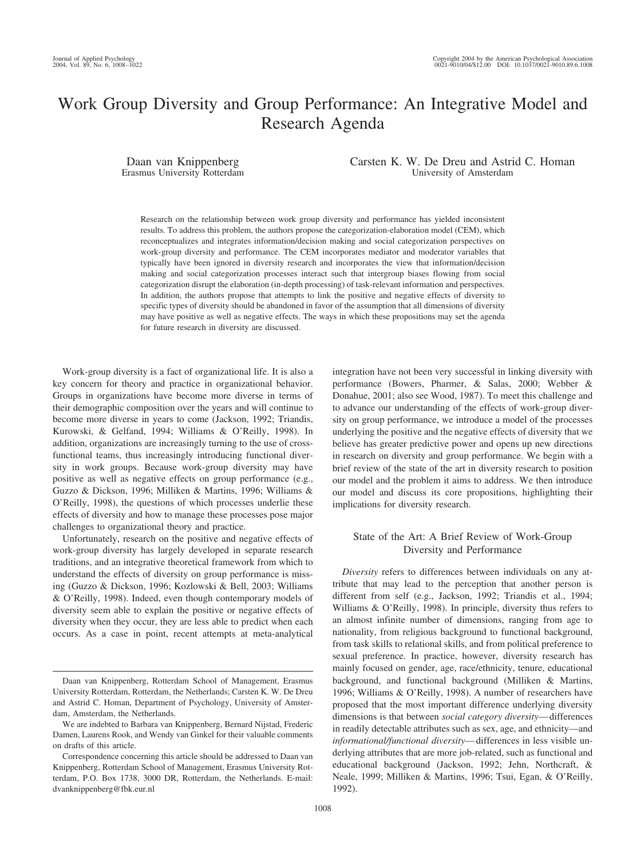# Work Group Diversity and Group Performance: An Integrative Model and Research Agenda

Daan van Knippenberg Erasmus University Rotterdam Carsten K. W. De Dreu and Astrid C. Homan University of Amsterdam

Research on the relationship between work group diversity and performance has yielded inconsistent results. To address this problem, the authors propose the categorization-elaboration model (CEM), which reconceptualizes and integrates information/decision making and social categorization perspectives on work-group diversity and performance. The CEM incorporates mediator and moderator variables that typically have been ignored in diversity research and incorporates the view that information/decision making and social categorization processes interact such that intergroup biases flowing from social categorization disrupt the elaboration (in-depth processing) of task-relevant information and perspectives. In addition, the authors propose that attempts to link the positive and negative effects of diversity to specific types of diversity should be abandoned in favor of the assumption that all dimensions of diversity may have positive as well as negative effects. The ways in which these propositions may set the agenda for future research in diversity are discussed.

Work-group diversity is a fact of organizational life. It is also a key concern for theory and practice in organizational behavior. Groups in organizations have become more diverse in terms of their demographic composition over the years and will continue to become more diverse in years to come (Jackson, 1992; Triandis, Kurowski, & Gelfand, 1994; Williams & O'Reilly, 1998). In addition, organizations are increasingly turning to the use of crossfunctional teams, thus increasingly introducing functional diversity in work groups. Because work-group diversity may have positive as well as negative effects on group performance (e.g., Guzzo & Dickson, 1996; Milliken & Martins, 1996; Williams & O'Reilly, 1998), the questions of which processes underlie these effects of diversity and how to manage these processes pose major challenges to organizational theory and practice.

Unfortunately, research on the positive and negative effects of work-group diversity has largely developed in separate research traditions, and an integrative theoretical framework from which to understand the effects of diversity on group performance is missing (Guzzo & Dickson, 1996; Kozlowski & Bell, 2003; Williams & O'Reilly, 1998). Indeed, even though contemporary models of diversity seem able to explain the positive or negative effects of diversity when they occur, they are less able to predict when each occurs. As a case in point, recent attempts at meta-analytical

integration have not been very successful in linking diversity with performance (Bowers, Pharmer, & Salas, 2000; Webber & Donahue, 2001; also see Wood, 1987). To meet this challenge and to advance our understanding of the effects of work-group diversity on group performance, we introduce a model of the processes underlying the positive and the negative effects of diversity that we believe has greater predictive power and opens up new directions in research on diversity and group performance. We begin with a brief review of the state of the art in diversity research to position our model and the problem it aims to address. We then introduce our model and discuss its core propositions, highlighting their implications for diversity research.

## State of the Art: A Brief Review of Work-Group Diversity and Performance

*Diversity* refers to differences between individuals on any attribute that may lead to the perception that another person is different from self (e.g., Jackson, 1992; Triandis et al., 1994; Williams & O'Reilly, 1998). In principle, diversity thus refers to an almost infinite number of dimensions, ranging from age to nationality, from religious background to functional background, from task skills to relational skills, and from political preference to sexual preference. In practice, however, diversity research has mainly focused on gender, age, race/ethnicity, tenure, educational background, and functional background (Milliken & Martins, 1996; Williams & O'Reilly, 1998). A number of researchers have proposed that the most important difference underlying diversity dimensions is that between *social category diversity*— differences in readily detectable attributes such as sex, age, and ethnicity—and *informational/functional diversity*— differences in less visible underlying attributes that are more job-related, such as functional and educational background (Jackson, 1992; Jehn, Northcraft, & Neale, 1999; Milliken & Martins, 1996; Tsui, Egan, & O'Reilly, 1992).

Daan van Knippenberg, Rotterdam School of Management, Erasmus University Rotterdam, Rotterdam, the Netherlands; Carsten K. W. De Dreu and Astrid C. Homan, Department of Psychology, University of Amsterdam, Amsterdam, the Netherlands.

We are indebted to Barbara van Knippenberg, Bernard Nijstad, Frederic Damen, Laurens Rook, and Wendy van Ginkel for their valuable comments on drafts of this article.

Correspondence concerning this article should be addressed to Daan van Knippenberg, Rotterdam School of Management, Erasmus University Rotterdam, P.O. Box 1738, 3000 DR, Rotterdam, the Netherlands. E-mail: dvanknippenberg@fbk.eur.nl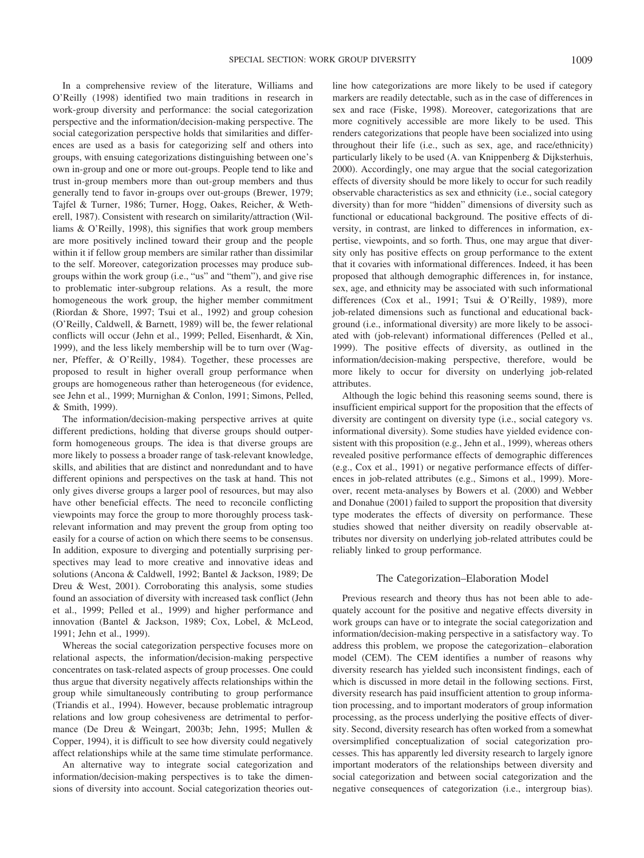In a comprehensive review of the literature, Williams and O'Reilly (1998) identified two main traditions in research in work-group diversity and performance: the social categorization perspective and the information/decision-making perspective. The social categorization perspective holds that similarities and differences are used as a basis for categorizing self and others into groups, with ensuing categorizations distinguishing between one's own in-group and one or more out-groups. People tend to like and trust in-group members more than out-group members and thus generally tend to favor in-groups over out-groups (Brewer, 1979; Tajfel & Turner, 1986; Turner, Hogg, Oakes, Reicher, & Wetherell, 1987). Consistent with research on similarity/attraction (Williams & O'Reilly, 1998), this signifies that work group members are more positively inclined toward their group and the people within it if fellow group members are similar rather than dissimilar to the self. Moreover, categorization processes may produce subgroups within the work group (i.e., "us" and "them"), and give rise to problematic inter-subgroup relations. As a result, the more homogeneous the work group, the higher member commitment (Riordan & Shore, 1997; Tsui et al., 1992) and group cohesion (O'Reilly, Caldwell, & Barnett, 1989) will be, the fewer relational conflicts will occur (Jehn et al., 1999; Pelled, Eisenhardt, & Xin, 1999), and the less likely membership will be to turn over (Wagner, Pfeffer, & O'Reilly, 1984). Together, these processes are proposed to result in higher overall group performance when groups are homogeneous rather than heterogeneous (for evidence, see Jehn et al., 1999; Murnighan & Conlon, 1991; Simons, Pelled, & Smith, 1999).

The information/decision-making perspective arrives at quite different predictions, holding that diverse groups should outperform homogeneous groups. The idea is that diverse groups are more likely to possess a broader range of task-relevant knowledge, skills, and abilities that are distinct and nonredundant and to have different opinions and perspectives on the task at hand. This not only gives diverse groups a larger pool of resources, but may also have other beneficial effects. The need to reconcile conflicting viewpoints may force the group to more thoroughly process taskrelevant information and may prevent the group from opting too easily for a course of action on which there seems to be consensus. In addition, exposure to diverging and potentially surprising perspectives may lead to more creative and innovative ideas and solutions (Ancona & Caldwell, 1992; Bantel & Jackson, 1989; De Dreu & West, 2001). Corroborating this analysis, some studies found an association of diversity with increased task conflict (Jehn et al., 1999; Pelled et al., 1999) and higher performance and innovation (Bantel & Jackson, 1989; Cox, Lobel, & McLeod, 1991; Jehn et al., 1999).

Whereas the social categorization perspective focuses more on relational aspects, the information/decision-making perspective concentrates on task-related aspects of group processes. One could thus argue that diversity negatively affects relationships within the group while simultaneously contributing to group performance (Triandis et al., 1994). However, because problematic intragroup relations and low group cohesiveness are detrimental to performance (De Dreu & Weingart, 2003b; Jehn, 1995; Mullen & Copper, 1994), it is difficult to see how diversity could negatively affect relationships while at the same time stimulate performance.

An alternative way to integrate social categorization and information/decision-making perspectives is to take the dimensions of diversity into account. Social categorization theories outline how categorizations are more likely to be used if category markers are readily detectable, such as in the case of differences in sex and race (Fiske, 1998). Moreover, categorizations that are more cognitively accessible are more likely to be used. This renders categorizations that people have been socialized into using throughout their life (i.e., such as sex, age, and race/ethnicity) particularly likely to be used (A. van Knippenberg & Dijksterhuis, 2000). Accordingly, one may argue that the social categorization effects of diversity should be more likely to occur for such readily observable characteristics as sex and ethnicity (i.e., social category diversity) than for more "hidden" dimensions of diversity such as functional or educational background. The positive effects of diversity, in contrast, are linked to differences in information, expertise, viewpoints, and so forth. Thus, one may argue that diversity only has positive effects on group performance to the extent that it covaries with informational differences. Indeed, it has been proposed that although demographic differences in, for instance, sex, age, and ethnicity may be associated with such informational differences (Cox et al., 1991; Tsui & O'Reilly, 1989), more job-related dimensions such as functional and educational background (i.e., informational diversity) are more likely to be associated with (job-relevant) informational differences (Pelled et al., 1999). The positive effects of diversity, as outlined in the information/decision-making perspective, therefore, would be more likely to occur for diversity on underlying job-related attributes.

Although the logic behind this reasoning seems sound, there is insufficient empirical support for the proposition that the effects of diversity are contingent on diversity type (i.e., social category vs. informational diversity). Some studies have yielded evidence consistent with this proposition (e.g., Jehn et al., 1999), whereas others revealed positive performance effects of demographic differences (e.g., Cox et al., 1991) or negative performance effects of differences in job-related attributes (e.g., Simons et al., 1999). Moreover, recent meta-analyses by Bowers et al. (2000) and Webber and Donahue (2001) failed to support the proposition that diversity type moderates the effects of diversity on performance. These studies showed that neither diversity on readily observable attributes nor diversity on underlying job-related attributes could be reliably linked to group performance.

#### The Categorization–Elaboration Model

Previous research and theory thus has not been able to adequately account for the positive and negative effects diversity in work groups can have or to integrate the social categorization and information/decision-making perspective in a satisfactory way. To address this problem, we propose the categorization– elaboration model (CEM). The CEM identifies a number of reasons why diversity research has yielded such inconsistent findings, each of which is discussed in more detail in the following sections. First, diversity research has paid insufficient attention to group information processing, and to important moderators of group information processing, as the process underlying the positive effects of diversity. Second, diversity research has often worked from a somewhat oversimplified conceptualization of social categorization processes. This has apparently led diversity research to largely ignore important moderators of the relationships between diversity and social categorization and between social categorization and the negative consequences of categorization (i.e., intergroup bias).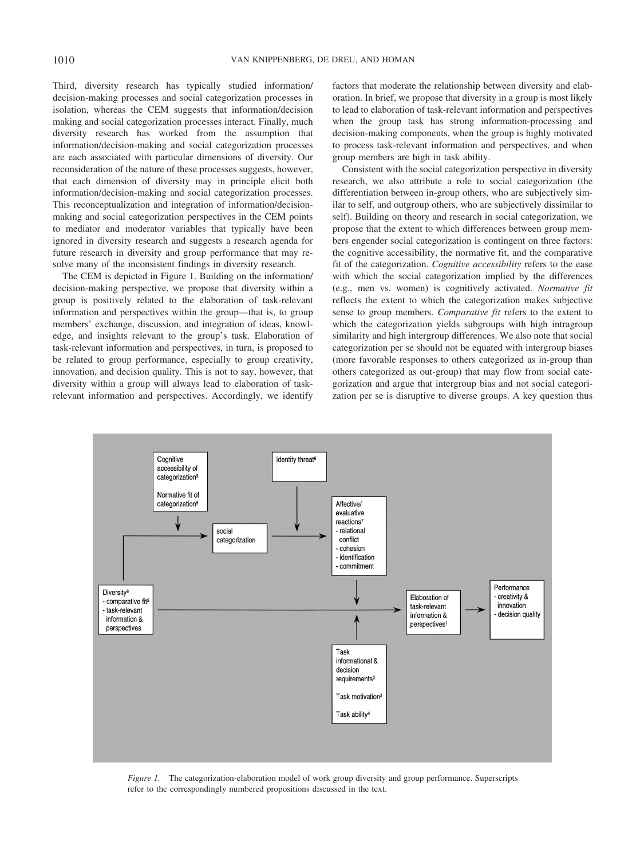Third, diversity research has typically studied information/ decision-making processes and social categorization processes in isolation, whereas the CEM suggests that information/decision making and social categorization processes interact. Finally, much diversity research has worked from the assumption that information/decision-making and social categorization processes are each associated with particular dimensions of diversity. Our reconsideration of the nature of these processes suggests, however, that each dimension of diversity may in principle elicit both information/decision-making and social categorization processes. This reconceptualization and integration of information/decisionmaking and social categorization perspectives in the CEM points to mediator and moderator variables that typically have been ignored in diversity research and suggests a research agenda for future research in diversity and group performance that may resolve many of the inconsistent findings in diversity research.

The CEM is depicted in Figure 1. Building on the information/ decision-making perspective, we propose that diversity within a group is positively related to the elaboration of task-relevant information and perspectives within the group—that is, to group members' exchange, discussion, and integration of ideas, knowledge, and insights relevant to the group's task. Elaboration of task-relevant information and perspectives, in turn, is proposed to be related to group performance, especially to group creativity, innovation, and decision quality. This is not to say, however, that diversity within a group will always lead to elaboration of taskrelevant information and perspectives. Accordingly, we identify

factors that moderate the relationship between diversity and elaboration. In brief, we propose that diversity in a group is most likely to lead to elaboration of task-relevant information and perspectives when the group task has strong information-processing and decision-making components, when the group is highly motivated to process task-relevant information and perspectives, and when group members are high in task ability.

Consistent with the social categorization perspective in diversity research, we also attribute a role to social categorization (the differentiation between in-group others, who are subjectively similar to self, and outgroup others, who are subjectively dissimilar to self). Building on theory and research in social categorization, we propose that the extent to which differences between group members engender social categorization is contingent on three factors: the cognitive accessibility, the normative fit, and the comparative fit of the categorization. *Cognitive accessibility* refers to the ease with which the social categorization implied by the differences (e.g., men vs. women) is cognitively activated. *Normative fit* reflects the extent to which the categorization makes subjective sense to group members. *Comparative fit* refers to the extent to which the categorization yields subgroups with high intragroup similarity and high intergroup differences. We also note that social categorization per se should not be equated with intergroup biases (more favorable responses to others categorized as in-group than others categorized as out-group) that may flow from social categorization and argue that intergroup bias and not social categorization per se is disruptive to diverse groups. A key question thus



*Figure 1.* The categorization-elaboration model of work group diversity and group performance. Superscripts refer to the correspondingly numbered propositions discussed in the text.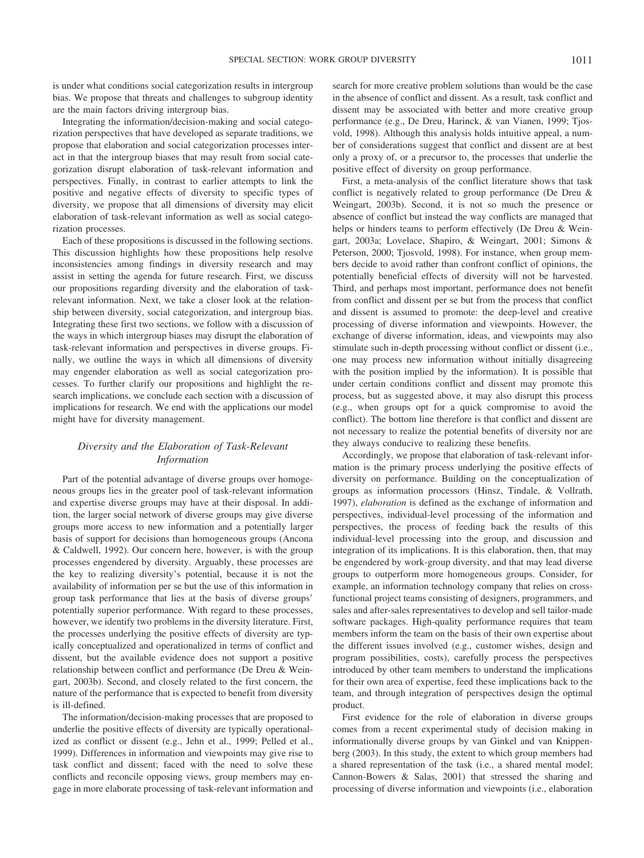is under what conditions social categorization results in intergroup bias. We propose that threats and challenges to subgroup identity are the main factors driving intergroup bias.

Integrating the information/decision-making and social categorization perspectives that have developed as separate traditions, we propose that elaboration and social categorization processes interact in that the intergroup biases that may result from social categorization disrupt elaboration of task-relevant information and perspectives. Finally, in contrast to earlier attempts to link the positive and negative effects of diversity to specific types of diversity, we propose that all dimensions of diversity may elicit elaboration of task-relevant information as well as social categorization processes.

Each of these propositions is discussed in the following sections. This discussion highlights how these propositions help resolve inconsistencies among findings in diversity research and may assist in setting the agenda for future research. First, we discuss our propositions regarding diversity and the elaboration of taskrelevant information. Next, we take a closer look at the relationship between diversity, social categorization, and intergroup bias. Integrating these first two sections, we follow with a discussion of the ways in which intergroup biases may disrupt the elaboration of task-relevant information and perspectives in diverse groups. Finally, we outline the ways in which all dimensions of diversity may engender elaboration as well as social categorization processes. To further clarify our propositions and highlight the research implications, we conclude each section with a discussion of implications for research. We end with the applications our model might have for diversity management.

## *Diversity and the Elaboration of Task-Relevant Information*

Part of the potential advantage of diverse groups over homogeneous groups lies in the greater pool of task-relevant information and expertise diverse groups may have at their disposal. In addition, the larger social network of diverse groups may give diverse groups more access to new information and a potentially larger basis of support for decisions than homogeneous groups (Ancona & Caldwell, 1992). Our concern here, however, is with the group processes engendered by diversity. Arguably, these processes are the key to realizing diversity's potential, because it is not the availability of information per se but the use of this information in group task performance that lies at the basis of diverse groups' potentially superior performance. With regard to these processes, however, we identify two problems in the diversity literature. First, the processes underlying the positive effects of diversity are typically conceptualized and operationalized in terms of conflict and dissent, but the available evidence does not support a positive relationship between conflict and performance (De Dreu & Weingart, 2003b). Second, and closely related to the first concern, the nature of the performance that is expected to benefit from diversity is ill-defined.

The information/decision-making processes that are proposed to underlie the positive effects of diversity are typically operationalized as conflict or dissent (e.g., Jehn et al., 1999; Pelled et al., 1999). Differences in information and viewpoints may give rise to task conflict and dissent; faced with the need to solve these conflicts and reconcile opposing views, group members may engage in more elaborate processing of task-relevant information and search for more creative problem solutions than would be the case in the absence of conflict and dissent. As a result, task conflict and dissent may be associated with better and more creative group performance (e.g., De Dreu, Harinck, & van Vianen, 1999; Tjosvold, 1998). Although this analysis holds intuitive appeal, a number of considerations suggest that conflict and dissent are at best only a proxy of, or a precursor to, the processes that underlie the positive effect of diversity on group performance.

First, a meta-analysis of the conflict literature shows that task conflict is negatively related to group performance (De Dreu & Weingart, 2003b). Second, it is not so much the presence or absence of conflict but instead the way conflicts are managed that helps or hinders teams to perform effectively (De Dreu & Weingart, 2003a; Lovelace, Shapiro, & Weingart, 2001; Simons & Peterson, 2000; Tjosvold, 1998). For instance, when group members decide to avoid rather than confront conflict of opinions, the potentially beneficial effects of diversity will not be harvested. Third, and perhaps most important, performance does not benefit from conflict and dissent per se but from the process that conflict and dissent is assumed to promote: the deep-level and creative processing of diverse information and viewpoints. However, the exchange of diverse information, ideas, and viewpoints may also stimulate such in-depth processing without conflict or dissent (i.e., one may process new information without initially disagreeing with the position implied by the information). It is possible that under certain conditions conflict and dissent may promote this process, but as suggested above, it may also disrupt this process (e.g., when groups opt for a quick compromise to avoid the conflict). The bottom line therefore is that conflict and dissent are not necessary to realize the potential benefits of diversity nor are they always conducive to realizing these benefits.

Accordingly, we propose that elaboration of task-relevant information is the primary process underlying the positive effects of diversity on performance. Building on the conceptualization of groups as information processors (Hinsz, Tindale, & Vollrath, 1997), *elaboration* is defined as the exchange of information and perspectives, individual-level processing of the information and perspectives, the process of feeding back the results of this individual-level processing into the group, and discussion and integration of its implications. It is this elaboration, then, that may be engendered by work-group diversity, and that may lead diverse groups to outperform more homogeneous groups. Consider, for example, an information technology company that relies on crossfunctional project teams consisting of designers, programmers, and sales and after-sales representatives to develop and sell tailor-made software packages. High-quality performance requires that team members inform the team on the basis of their own expertise about the different issues involved (e.g., customer wishes, design and program possibilities, costs), carefully process the perspectives introduced by other team members to understand the implications for their own area of expertise, feed these implications back to the team, and through integration of perspectives design the optimal product.

First evidence for the role of elaboration in diverse groups comes from a recent experimental study of decision making in informationally diverse groups by van Ginkel and van Knippenberg (2003). In this study, the extent to which group members had a shared representation of the task (i.e., a shared mental model; Cannon-Bowers & Salas, 2001) that stressed the sharing and processing of diverse information and viewpoints (i.e., elaboration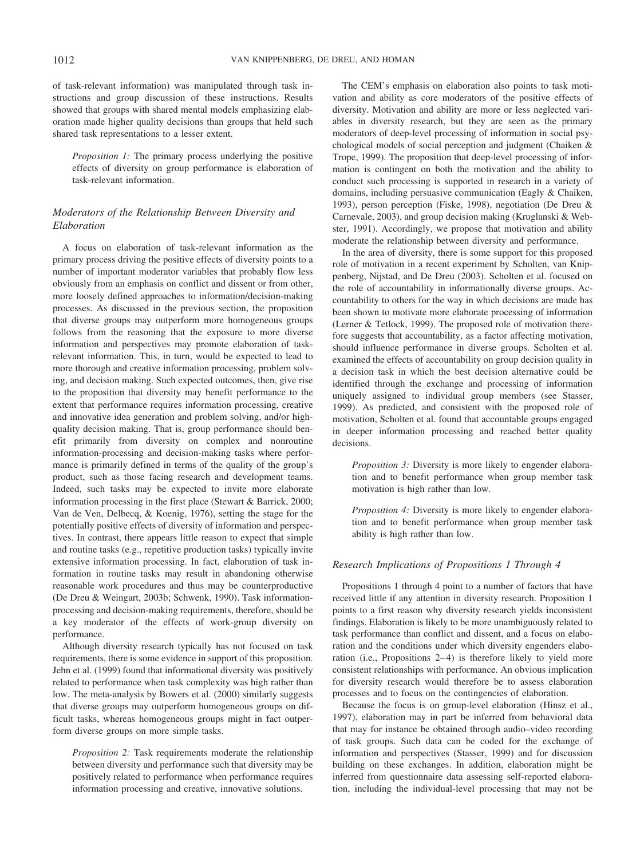of task-relevant information) was manipulated through task instructions and group discussion of these instructions. Results showed that groups with shared mental models emphasizing elaboration made higher quality decisions than groups that held such shared task representations to a lesser extent.

*Proposition 1:* The primary process underlying the positive effects of diversity on group performance is elaboration of task-relevant information.

## *Moderators of the Relationship Between Diversity and Elaboration*

A focus on elaboration of task-relevant information as the primary process driving the positive effects of diversity points to a number of important moderator variables that probably flow less obviously from an emphasis on conflict and dissent or from other, more loosely defined approaches to information/decision-making processes. As discussed in the previous section, the proposition that diverse groups may outperform more homogeneous groups follows from the reasoning that the exposure to more diverse information and perspectives may promote elaboration of taskrelevant information. This, in turn, would be expected to lead to more thorough and creative information processing, problem solving, and decision making. Such expected outcomes, then, give rise to the proposition that diversity may benefit performance to the extent that performance requires information processing, creative and innovative idea generation and problem solving, and/or highquality decision making. That is, group performance should benefit primarily from diversity on complex and nonroutine information-processing and decision-making tasks where performance is primarily defined in terms of the quality of the group's product, such as those facing research and development teams. Indeed, such tasks may be expected to invite more elaborate information processing in the first place (Stewart & Barrick, 2000; Van de Ven, Delbecq, & Koenig, 1976), setting the stage for the potentially positive effects of diversity of information and perspectives. In contrast, there appears little reason to expect that simple and routine tasks (e.g., repetitive production tasks) typically invite extensive information processing. In fact, elaboration of task information in routine tasks may result in abandoning otherwise reasonable work procedures and thus may be counterproductive (De Dreu & Weingart, 2003b; Schwenk, 1990). Task informationprocessing and decision-making requirements, therefore, should be a key moderator of the effects of work-group diversity on performance.

Although diversity research typically has not focused on task requirements, there is some evidence in support of this proposition. Jehn et al. (1999) found that informational diversity was positively related to performance when task complexity was high rather than low. The meta-analysis by Bowers et al. (2000) similarly suggests that diverse groups may outperform homogeneous groups on difficult tasks, whereas homogeneous groups might in fact outperform diverse groups on more simple tasks.

*Proposition 2:* Task requirements moderate the relationship between diversity and performance such that diversity may be positively related to performance when performance requires information processing and creative, innovative solutions.

The CEM's emphasis on elaboration also points to task motivation and ability as core moderators of the positive effects of diversity. Motivation and ability are more or less neglected variables in diversity research, but they are seen as the primary moderators of deep-level processing of information in social psychological models of social perception and judgment (Chaiken & Trope, 1999). The proposition that deep-level processing of information is contingent on both the motivation and the ability to conduct such processing is supported in research in a variety of domains, including persuasive communication (Eagly & Chaiken, 1993), person perception (Fiske, 1998), negotiation (De Dreu & Carnevale, 2003), and group decision making (Kruglanski & Webster, 1991). Accordingly, we propose that motivation and ability moderate the relationship between diversity and performance.

In the area of diversity, there is some support for this proposed role of motivation in a recent experiment by Scholten, van Knippenberg, Nijstad, and De Dreu (2003). Scholten et al. focused on the role of accountability in informationally diverse groups. Accountability to others for the way in which decisions are made has been shown to motivate more elaborate processing of information (Lerner & Tetlock, 1999). The proposed role of motivation therefore suggests that accountability, as a factor affecting motivation, should influence performance in diverse groups. Scholten et al. examined the effects of accountability on group decision quality in a decision task in which the best decision alternative could be identified through the exchange and processing of information uniquely assigned to individual group members (see Stasser, 1999). As predicted, and consistent with the proposed role of motivation, Scholten et al. found that accountable groups engaged in deeper information processing and reached better quality decisions.

*Proposition 3:* Diversity is more likely to engender elaboration and to benefit performance when group member task motivation is high rather than low.

*Proposition 4:* Diversity is more likely to engender elaboration and to benefit performance when group member task ability is high rather than low.

#### *Research Implications of Propositions 1 Through 4*

Propositions 1 through 4 point to a number of factors that have received little if any attention in diversity research. Proposition 1 points to a first reason why diversity research yields inconsistent findings. Elaboration is likely to be more unambiguously related to task performance than conflict and dissent, and a focus on elaboration and the conditions under which diversity engenders elaboration (i.e., Propositions 2–4) is therefore likely to yield more consistent relationships with performance. An obvious implication for diversity research would therefore be to assess elaboration processes and to focus on the contingencies of elaboration.

Because the focus is on group-level elaboration (Hinsz et al., 1997), elaboration may in part be inferred from behavioral data that may for instance be obtained through audio–video recording of task groups. Such data can be coded for the exchange of information and perspectives (Stasser, 1999) and for discussion building on these exchanges. In addition, elaboration might be inferred from questionnaire data assessing self-reported elaboration, including the individual-level processing that may not be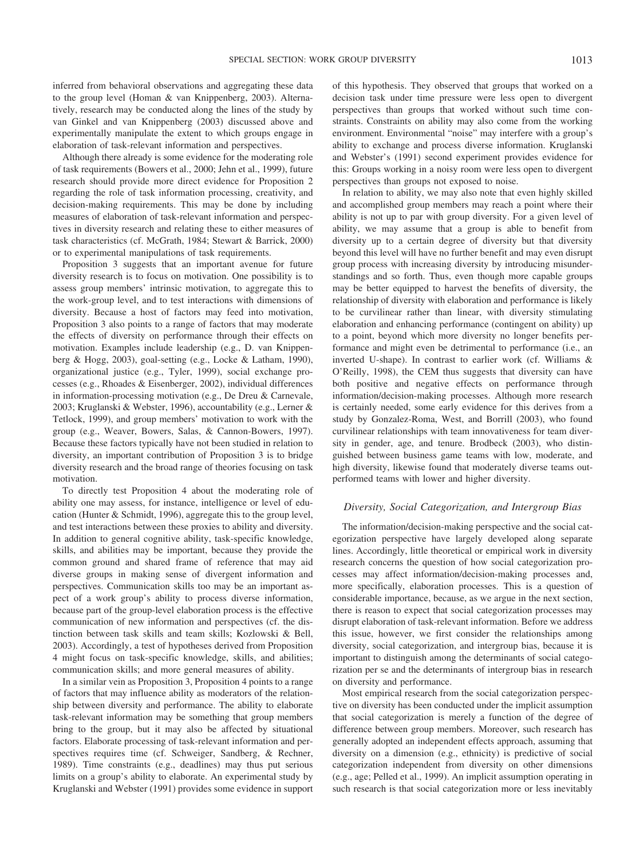inferred from behavioral observations and aggregating these data to the group level (Homan & van Knippenberg, 2003). Alternatively, research may be conducted along the lines of the study by van Ginkel and van Knippenberg (2003) discussed above and experimentally manipulate the extent to which groups engage in elaboration of task-relevant information and perspectives.

Although there already is some evidence for the moderating role of task requirements (Bowers et al., 2000; Jehn et al., 1999), future research should provide more direct evidence for Proposition 2 regarding the role of task information processing, creativity, and decision-making requirements. This may be done by including measures of elaboration of task-relevant information and perspectives in diversity research and relating these to either measures of task characteristics (cf. McGrath, 1984; Stewart & Barrick, 2000) or to experimental manipulations of task requirements.

Proposition 3 suggests that an important avenue for future diversity research is to focus on motivation. One possibility is to assess group members' intrinsic motivation, to aggregate this to the work-group level, and to test interactions with dimensions of diversity. Because a host of factors may feed into motivation, Proposition 3 also points to a range of factors that may moderate the effects of diversity on performance through their effects on motivation. Examples include leadership (e.g., D. van Knippenberg & Hogg, 2003), goal-setting (e.g., Locke & Latham, 1990), organizational justice (e.g., Tyler, 1999), social exchange processes (e.g., Rhoades & Eisenberger, 2002), individual differences in information-processing motivation (e.g., De Dreu & Carnevale, 2003; Kruglanski & Webster, 1996), accountability (e.g., Lerner & Tetlock, 1999), and group members' motivation to work with the group (e.g., Weaver, Bowers, Salas, & Cannon-Bowers, 1997). Because these factors typically have not been studied in relation to diversity, an important contribution of Proposition 3 is to bridge diversity research and the broad range of theories focusing on task motivation.

To directly test Proposition 4 about the moderating role of ability one may assess, for instance, intelligence or level of education (Hunter & Schmidt, 1996), aggregate this to the group level, and test interactions between these proxies to ability and diversity. In addition to general cognitive ability, task-specific knowledge, skills, and abilities may be important, because they provide the common ground and shared frame of reference that may aid diverse groups in making sense of divergent information and perspectives. Communication skills too may be an important aspect of a work group's ability to process diverse information, because part of the group-level elaboration process is the effective communication of new information and perspectives (cf. the distinction between task skills and team skills; Kozlowski & Bell, 2003). Accordingly, a test of hypotheses derived from Proposition 4 might focus on task-specific knowledge, skills, and abilities; communication skills; and more general measures of ability.

In a similar vein as Proposition 3, Proposition 4 points to a range of factors that may influence ability as moderators of the relationship between diversity and performance. The ability to elaborate task-relevant information may be something that group members bring to the group, but it may also be affected by situational factors. Elaborate processing of task-relevant information and perspectives requires time (cf. Schweiger, Sandberg, & Rechner, 1989). Time constraints (e.g., deadlines) may thus put serious limits on a group's ability to elaborate. An experimental study by Kruglanski and Webster (1991) provides some evidence in support of this hypothesis. They observed that groups that worked on a decision task under time pressure were less open to divergent perspectives than groups that worked without such time constraints. Constraints on ability may also come from the working environment. Environmental "noise" may interfere with a group's ability to exchange and process diverse information. Kruglanski and Webster's (1991) second experiment provides evidence for this: Groups working in a noisy room were less open to divergent perspectives than groups not exposed to noise.

In relation to ability, we may also note that even highly skilled and accomplished group members may reach a point where their ability is not up to par with group diversity. For a given level of ability, we may assume that a group is able to benefit from diversity up to a certain degree of diversity but that diversity beyond this level will have no further benefit and may even disrupt group process with increasing diversity by introducing misunderstandings and so forth. Thus, even though more capable groups may be better equipped to harvest the benefits of diversity, the relationship of diversity with elaboration and performance is likely to be curvilinear rather than linear, with diversity stimulating elaboration and enhancing performance (contingent on ability) up to a point, beyond which more diversity no longer benefits performance and might even be detrimental to performance (i.e., an inverted U-shape). In contrast to earlier work (cf. Williams & O'Reilly, 1998), the CEM thus suggests that diversity can have both positive and negative effects on performance through information/decision-making processes. Although more research is certainly needed, some early evidence for this derives from a study by Gonzalez-Roma, West, and Borrill (2003), who found curvilinear relationships with team innovativeness for team diversity in gender, age, and tenure. Brodbeck (2003), who distinguished between business game teams with low, moderate, and high diversity, likewise found that moderately diverse teams outperformed teams with lower and higher diversity.

## *Diversity, Social Categorization, and Intergroup Bias*

The information/decision-making perspective and the social categorization perspective have largely developed along separate lines. Accordingly, little theoretical or empirical work in diversity research concerns the question of how social categorization processes may affect information/decision-making processes and, more specifically, elaboration processes. This is a question of considerable importance, because, as we argue in the next section, there is reason to expect that social categorization processes may disrupt elaboration of task-relevant information. Before we address this issue, however, we first consider the relationships among diversity, social categorization, and intergroup bias, because it is important to distinguish among the determinants of social categorization per se and the determinants of intergroup bias in research on diversity and performance.

Most empirical research from the social categorization perspective on diversity has been conducted under the implicit assumption that social categorization is merely a function of the degree of difference between group members. Moreover, such research has generally adopted an independent effects approach, assuming that diversity on a dimension (e.g., ethnicity) is predictive of social categorization independent from diversity on other dimensions (e.g., age; Pelled et al., 1999). An implicit assumption operating in such research is that social categorization more or less inevitably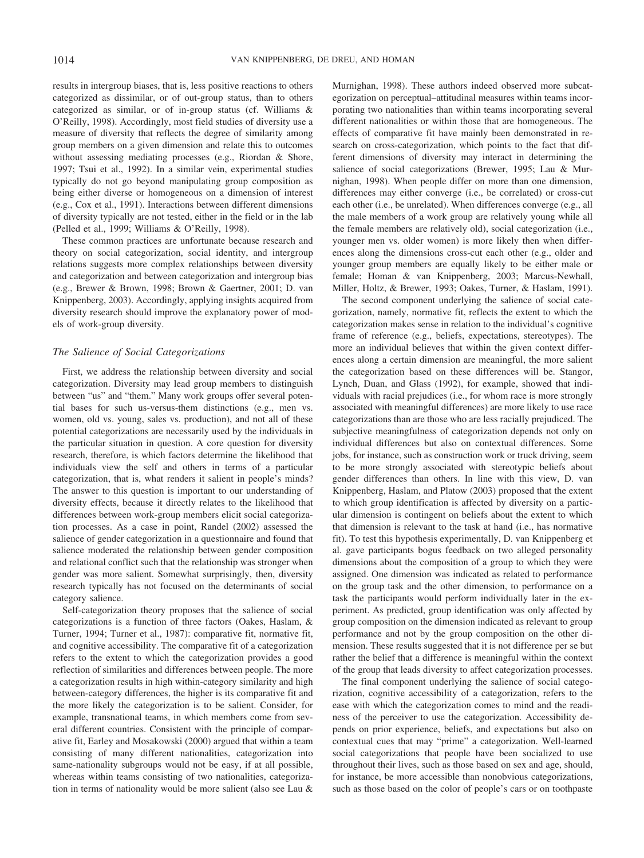results in intergroup biases, that is, less positive reactions to others categorized as dissimilar, or of out-group status, than to others categorized as similar, or of in-group status (cf. Williams & O'Reilly, 1998). Accordingly, most field studies of diversity use a measure of diversity that reflects the degree of similarity among group members on a given dimension and relate this to outcomes without assessing mediating processes (e.g., Riordan & Shore, 1997; Tsui et al., 1992). In a similar vein, experimental studies typically do not go beyond manipulating group composition as being either diverse or homogeneous on a dimension of interest (e.g., Cox et al., 1991). Interactions between different dimensions of diversity typically are not tested, either in the field or in the lab (Pelled et al., 1999; Williams & O'Reilly, 1998).

These common practices are unfortunate because research and theory on social categorization, social identity, and intergroup relations suggests more complex relationships between diversity and categorization and between categorization and intergroup bias (e.g., Brewer & Brown, 1998; Brown & Gaertner, 2001; D. van Knippenberg, 2003). Accordingly, applying insights acquired from diversity research should improve the explanatory power of models of work-group diversity.

#### *The Salience of Social Categorizations*

First, we address the relationship between diversity and social categorization. Diversity may lead group members to distinguish between "us" and "them." Many work groups offer several potential bases for such us-versus-them distinctions (e.g., men vs. women, old vs. young, sales vs. production), and not all of these potential categorizations are necessarily used by the individuals in the particular situation in question. A core question for diversity research, therefore, is which factors determine the likelihood that individuals view the self and others in terms of a particular categorization, that is, what renders it salient in people's minds? The answer to this question is important to our understanding of diversity effects, because it directly relates to the likelihood that differences between work-group members elicit social categorization processes. As a case in point, Randel (2002) assessed the salience of gender categorization in a questionnaire and found that salience moderated the relationship between gender composition and relational conflict such that the relationship was stronger when gender was more salient. Somewhat surprisingly, then, diversity research typically has not focused on the determinants of social category salience.

Self-categorization theory proposes that the salience of social categorizations is a function of three factors (Oakes, Haslam, & Turner, 1994; Turner et al., 1987): comparative fit, normative fit, and cognitive accessibility. The comparative fit of a categorization refers to the extent to which the categorization provides a good reflection of similarities and differences between people. The more a categorization results in high within-category similarity and high between-category differences, the higher is its comparative fit and the more likely the categorization is to be salient. Consider, for example, transnational teams, in which members come from several different countries. Consistent with the principle of comparative fit, Earley and Mosakowski (2000) argued that within a team consisting of many different nationalities, categorization into same-nationality subgroups would not be easy, if at all possible, whereas within teams consisting of two nationalities, categorization in terms of nationality would be more salient (also see Lau &

Murnighan, 1998). These authors indeed observed more subcategorization on perceptual–attitudinal measures within teams incorporating two nationalities than within teams incorporating several different nationalities or within those that are homogeneous. The effects of comparative fit have mainly been demonstrated in research on cross-categorization, which points to the fact that different dimensions of diversity may interact in determining the salience of social categorizations (Brewer, 1995; Lau & Murnighan, 1998). When people differ on more than one dimension, differences may either converge (i.e., be correlated) or cross-cut each other (i.e., be unrelated). When differences converge (e.g., all the male members of a work group are relatively young while all the female members are relatively old), social categorization (i.e., younger men vs. older women) is more likely then when differences along the dimensions cross-cut each other (e.g., older and younger group members are equally likely to be either male or female; Homan & van Knippenberg, 2003; Marcus-Newhall, Miller, Holtz, & Brewer, 1993; Oakes, Turner, & Haslam, 1991).

The second component underlying the salience of social categorization, namely, normative fit, reflects the extent to which the categorization makes sense in relation to the individual's cognitive frame of reference (e.g., beliefs, expectations, stereotypes). The more an individual believes that within the given context differences along a certain dimension are meaningful, the more salient the categorization based on these differences will be. Stangor, Lynch, Duan, and Glass (1992), for example, showed that individuals with racial prejudices (i.e., for whom race is more strongly associated with meaningful differences) are more likely to use race categorizations than are those who are less racially prejudiced. The subjective meaningfulness of categorization depends not only on individual differences but also on contextual differences. Some jobs, for instance, such as construction work or truck driving, seem to be more strongly associated with stereotypic beliefs about gender differences than others. In line with this view, D. van Knippenberg, Haslam, and Platow (2003) proposed that the extent to which group identification is affected by diversity on a particular dimension is contingent on beliefs about the extent to which that dimension is relevant to the task at hand (i.e., has normative fit). To test this hypothesis experimentally, D. van Knippenberg et al. gave participants bogus feedback on two alleged personality dimensions about the composition of a group to which they were assigned. One dimension was indicated as related to performance on the group task and the other dimension, to performance on a task the participants would perform individually later in the experiment. As predicted, group identification was only affected by group composition on the dimension indicated as relevant to group performance and not by the group composition on the other dimension. These results suggested that it is not difference per se but rather the belief that a difference is meaningful within the context of the group that leads diversity to affect categorization processes.

The final component underlying the salience of social categorization, cognitive accessibility of a categorization, refers to the ease with which the categorization comes to mind and the readiness of the perceiver to use the categorization. Accessibility depends on prior experience, beliefs, and expectations but also on contextual cues that may "prime" a categorization. Well-learned social categorizations that people have been socialized to use throughout their lives, such as those based on sex and age, should, for instance, be more accessible than nonobvious categorizations, such as those based on the color of people's cars or on toothpaste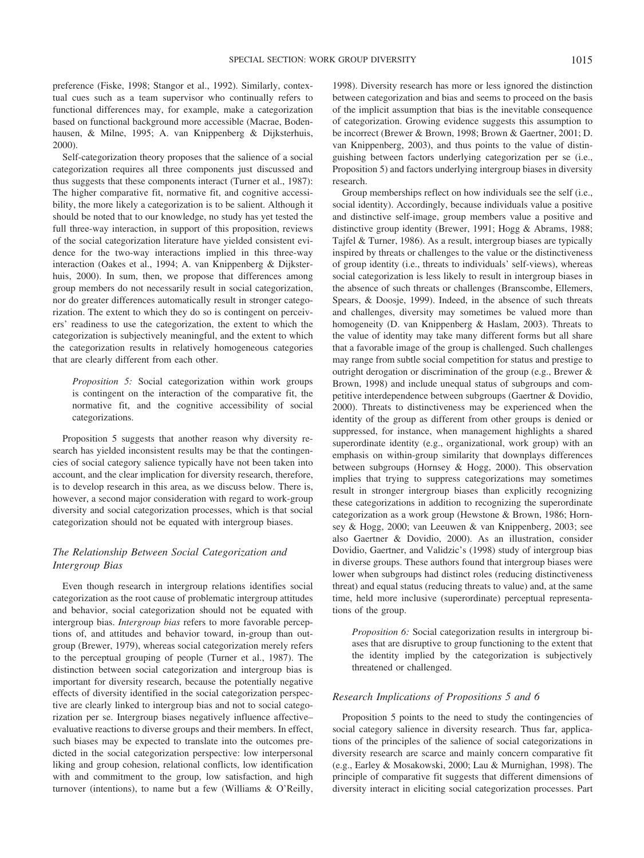preference (Fiske, 1998; Stangor et al., 1992). Similarly, contextual cues such as a team supervisor who continually refers to functional differences may, for example, make a categorization based on functional background more accessible (Macrae, Bodenhausen, & Milne, 1995; A. van Knippenberg & Dijksterhuis, 2000).

Self-categorization theory proposes that the salience of a social categorization requires all three components just discussed and thus suggests that these components interact (Turner et al., 1987): The higher comparative fit, normative fit, and cognitive accessibility, the more likely a categorization is to be salient. Although it should be noted that to our knowledge, no study has yet tested the full three-way interaction, in support of this proposition, reviews of the social categorization literature have yielded consistent evidence for the two-way interactions implied in this three-way interaction (Oakes et al., 1994; A. van Knippenberg & Dijksterhuis, 2000). In sum, then, we propose that differences among group members do not necessarily result in social categorization, nor do greater differences automatically result in stronger categorization. The extent to which they do so is contingent on perceivers' readiness to use the categorization, the extent to which the categorization is subjectively meaningful, and the extent to which the categorization results in relatively homogeneous categories that are clearly different from each other.

*Proposition 5:* Social categorization within work groups is contingent on the interaction of the comparative fit, the normative fit, and the cognitive accessibility of social categorizations.

Proposition 5 suggests that another reason why diversity research has yielded inconsistent results may be that the contingencies of social category salience typically have not been taken into account, and the clear implication for diversity research, therefore, is to develop research in this area, as we discuss below. There is, however, a second major consideration with regard to work-group diversity and social categorization processes, which is that social categorization should not be equated with intergroup biases.

## *The Relationship Between Social Categorization and Intergroup Bias*

Even though research in intergroup relations identifies social categorization as the root cause of problematic intergroup attitudes and behavior, social categorization should not be equated with intergroup bias. *Intergroup bias* refers to more favorable perceptions of, and attitudes and behavior toward, in-group than outgroup (Brewer, 1979), whereas social categorization merely refers to the perceptual grouping of people (Turner et al., 1987). The distinction between social categorization and intergroup bias is important for diversity research, because the potentially negative effects of diversity identified in the social categorization perspective are clearly linked to intergroup bias and not to social categorization per se. Intergroup biases negatively influence affective– evaluative reactions to diverse groups and their members. In effect, such biases may be expected to translate into the outcomes predicted in the social categorization perspective: low interpersonal liking and group cohesion, relational conflicts, low identification with and commitment to the group, low satisfaction, and high turnover (intentions), to name but a few (Williams & O'Reilly, 1998). Diversity research has more or less ignored the distinction between categorization and bias and seems to proceed on the basis of the implicit assumption that bias is the inevitable consequence of categorization. Growing evidence suggests this assumption to be incorrect (Brewer & Brown, 1998; Brown & Gaertner, 2001; D. van Knippenberg, 2003), and thus points to the value of distinguishing between factors underlying categorization per se (i.e., Proposition 5) and factors underlying intergroup biases in diversity research.

Group memberships reflect on how individuals see the self (i.e., social identity). Accordingly, because individuals value a positive and distinctive self-image, group members value a positive and distinctive group identity (Brewer, 1991; Hogg & Abrams, 1988; Tajfel & Turner, 1986). As a result, intergroup biases are typically inspired by threats or challenges to the value or the distinctiveness of group identity (i.e., threats to individuals' self-views), whereas social categorization is less likely to result in intergroup biases in the absence of such threats or challenges (Branscombe, Ellemers, Spears, & Doosje, 1999). Indeed, in the absence of such threats and challenges, diversity may sometimes be valued more than homogeneity (D. van Knippenberg & Haslam, 2003). Threats to the value of identity may take many different forms but all share that a favorable image of the group is challenged. Such challenges may range from subtle social competition for status and prestige to outright derogation or discrimination of the group (e.g., Brewer & Brown, 1998) and include unequal status of subgroups and competitive interdependence between subgroups (Gaertner & Dovidio, 2000). Threats to distinctiveness may be experienced when the identity of the group as different from other groups is denied or suppressed, for instance, when management highlights a shared superordinate identity (e.g., organizational, work group) with an emphasis on within-group similarity that downplays differences between subgroups (Hornsey & Hogg, 2000). This observation implies that trying to suppress categorizations may sometimes result in stronger intergroup biases than explicitly recognizing these categorizations in addition to recognizing the superordinate categorization as a work group (Hewstone & Brown, 1986; Hornsey & Hogg, 2000; van Leeuwen & van Knippenberg, 2003; see also Gaertner & Dovidio, 2000). As an illustration, consider Dovidio, Gaertner, and Validzic's (1998) study of intergroup bias in diverse groups. These authors found that intergroup biases were lower when subgroups had distinct roles (reducing distinctiveness threat) and equal status (reducing threats to value) and, at the same time, held more inclusive (superordinate) perceptual representations of the group.

*Proposition 6:* Social categorization results in intergroup biases that are disruptive to group functioning to the extent that the identity implied by the categorization is subjectively threatened or challenged.

#### *Research Implications of Propositions 5 and 6*

Proposition 5 points to the need to study the contingencies of social category salience in diversity research. Thus far, applications of the principles of the salience of social categorizations in diversity research are scarce and mainly concern comparative fit (e.g., Earley & Mosakowski, 2000; Lau & Murnighan, 1998). The principle of comparative fit suggests that different dimensions of diversity interact in eliciting social categorization processes. Part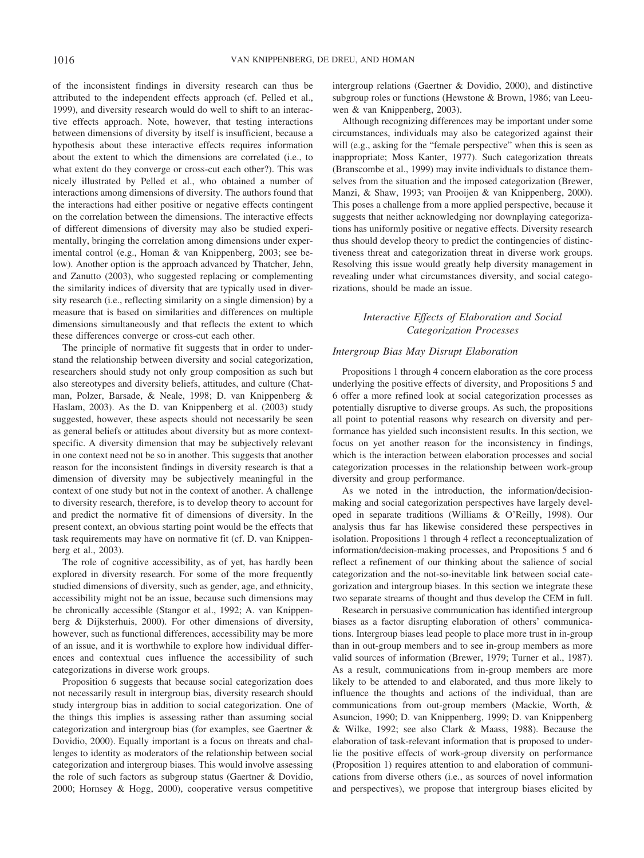of the inconsistent findings in diversity research can thus be attributed to the independent effects approach (cf. Pelled et al., 1999), and diversity research would do well to shift to an interactive effects approach. Note, however, that testing interactions between dimensions of diversity by itself is insufficient, because a hypothesis about these interactive effects requires information about the extent to which the dimensions are correlated (i.e., to what extent do they converge or cross-cut each other?). This was nicely illustrated by Pelled et al., who obtained a number of interactions among dimensions of diversity. The authors found that the interactions had either positive or negative effects contingent on the correlation between the dimensions. The interactive effects of different dimensions of diversity may also be studied experimentally, bringing the correlation among dimensions under experimental control (e.g., Homan & van Knippenberg, 2003; see below). Another option is the approach advanced by Thatcher, Jehn, and Zanutto (2003), who suggested replacing or complementing the similarity indices of diversity that are typically used in diversity research (i.e., reflecting similarity on a single dimension) by a measure that is based on similarities and differences on multiple dimensions simultaneously and that reflects the extent to which these differences converge or cross-cut each other.

The principle of normative fit suggests that in order to understand the relationship between diversity and social categorization, researchers should study not only group composition as such but also stereotypes and diversity beliefs, attitudes, and culture (Chatman, Polzer, Barsade, & Neale, 1998; D. van Knippenberg & Haslam, 2003). As the D. van Knippenberg et al. (2003) study suggested, however, these aspects should not necessarily be seen as general beliefs or attitudes about diversity but as more contextspecific. A diversity dimension that may be subjectively relevant in one context need not be so in another. This suggests that another reason for the inconsistent findings in diversity research is that a dimension of diversity may be subjectively meaningful in the context of one study but not in the context of another. A challenge to diversity research, therefore, is to develop theory to account for and predict the normative fit of dimensions of diversity. In the present context, an obvious starting point would be the effects that task requirements may have on normative fit (cf. D. van Knippenberg et al., 2003).

The role of cognitive accessibility, as of yet, has hardly been explored in diversity research. For some of the more frequently studied dimensions of diversity, such as gender, age, and ethnicity, accessibility might not be an issue, because such dimensions may be chronically accessible (Stangor et al., 1992; A. van Knippenberg & Dijksterhuis, 2000). For other dimensions of diversity, however, such as functional differences, accessibility may be more of an issue, and it is worthwhile to explore how individual differences and contextual cues influence the accessibility of such categorizations in diverse work groups.

Proposition 6 suggests that because social categorization does not necessarily result in intergroup bias, diversity research should study intergroup bias in addition to social categorization. One of the things this implies is assessing rather than assuming social categorization and intergroup bias (for examples, see Gaertner & Dovidio, 2000). Equally important is a focus on threats and challenges to identity as moderators of the relationship between social categorization and intergroup biases. This would involve assessing the role of such factors as subgroup status (Gaertner & Dovidio, 2000; Hornsey & Hogg, 2000), cooperative versus competitive intergroup relations (Gaertner & Dovidio, 2000), and distinctive subgroup roles or functions (Hewstone & Brown, 1986; van Leeuwen & van Knippenberg, 2003).

Although recognizing differences may be important under some circumstances, individuals may also be categorized against their will (e.g., asking for the "female perspective" when this is seen as inappropriate; Moss Kanter, 1977). Such categorization threats (Branscombe et al., 1999) may invite individuals to distance themselves from the situation and the imposed categorization (Brewer, Manzi, & Shaw, 1993; van Prooijen & van Knippenberg, 2000). This poses a challenge from a more applied perspective, because it suggests that neither acknowledging nor downplaying categorizations has uniformly positive or negative effects. Diversity research thus should develop theory to predict the contingencies of distinctiveness threat and categorization threat in diverse work groups. Resolving this issue would greatly help diversity management in revealing under what circumstances diversity, and social categorizations, should be made an issue.

## *Interactive Effects of Elaboration and Social Categorization Processes*

#### *Intergroup Bias May Disrupt Elaboration*

Propositions 1 through 4 concern elaboration as the core process underlying the positive effects of diversity, and Propositions 5 and 6 offer a more refined look at social categorization processes as potentially disruptive to diverse groups. As such, the propositions all point to potential reasons why research on diversity and performance has yielded such inconsistent results. In this section, we focus on yet another reason for the inconsistency in findings, which is the interaction between elaboration processes and social categorization processes in the relationship between work-group diversity and group performance.

As we noted in the introduction, the information/decisionmaking and social categorization perspectives have largely developed in separate traditions (Williams & O'Reilly, 1998). Our analysis thus far has likewise considered these perspectives in isolation. Propositions 1 through 4 reflect a reconceptualization of information/decision-making processes, and Propositions 5 and 6 reflect a refinement of our thinking about the salience of social categorization and the not-so-inevitable link between social categorization and intergroup biases. In this section we integrate these two separate streams of thought and thus develop the CEM in full.

Research in persuasive communication has identified intergroup biases as a factor disrupting elaboration of others' communications. Intergroup biases lead people to place more trust in in-group than in out-group members and to see in-group members as more valid sources of information (Brewer, 1979; Turner et al., 1987). As a result, communications from in-group members are more likely to be attended to and elaborated, and thus more likely to influence the thoughts and actions of the individual, than are communications from out-group members (Mackie, Worth, & Asuncion, 1990; D. van Knippenberg, 1999; D. van Knippenberg & Wilke, 1992; see also Clark & Maass, 1988). Because the elaboration of task-relevant information that is proposed to underlie the positive effects of work-group diversity on performance (Proposition 1) requires attention to and elaboration of communications from diverse others (i.e., as sources of novel information and perspectives), we propose that intergroup biases elicited by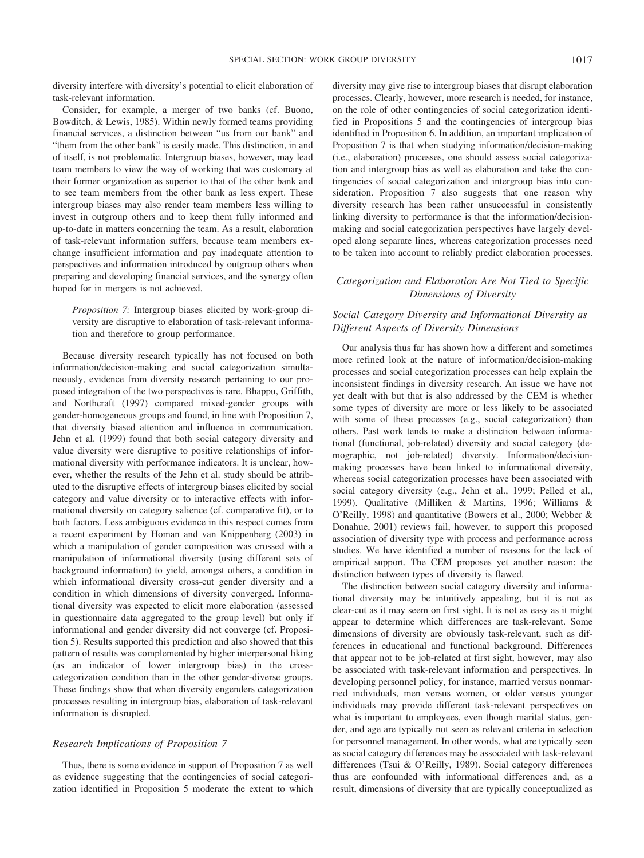diversity interfere with diversity's potential to elicit elaboration of task-relevant information.

Consider, for example, a merger of two banks (cf. Buono, Bowditch, & Lewis, 1985). Within newly formed teams providing financial services, a distinction between "us from our bank" and "them from the other bank" is easily made. This distinction, in and of itself, is not problematic. Intergroup biases, however, may lead team members to view the way of working that was customary at their former organization as superior to that of the other bank and to see team members from the other bank as less expert. These intergroup biases may also render team members less willing to invest in outgroup others and to keep them fully informed and up-to-date in matters concerning the team. As a result, elaboration of task-relevant information suffers, because team members exchange insufficient information and pay inadequate attention to perspectives and information introduced by outgroup others when preparing and developing financial services, and the synergy often hoped for in mergers is not achieved.

*Proposition 7:* Intergroup biases elicited by work-group diversity are disruptive to elaboration of task-relevant information and therefore to group performance.

Because diversity research typically has not focused on both information/decision-making and social categorization simultaneously, evidence from diversity research pertaining to our proposed integration of the two perspectives is rare. Bhappu, Griffith, and Northcraft (1997) compared mixed-gender groups with gender-homogeneous groups and found, in line with Proposition 7, that diversity biased attention and influence in communication. Jehn et al. (1999) found that both social category diversity and value diversity were disruptive to positive relationships of informational diversity with performance indicators. It is unclear, however, whether the results of the Jehn et al. study should be attributed to the disruptive effects of intergroup biases elicited by social category and value diversity or to interactive effects with informational diversity on category salience (cf. comparative fit), or to both factors. Less ambiguous evidence in this respect comes from a recent experiment by Homan and van Knippenberg (2003) in which a manipulation of gender composition was crossed with a manipulation of informational diversity (using different sets of background information) to yield, amongst others, a condition in which informational diversity cross-cut gender diversity and a condition in which dimensions of diversity converged. Informational diversity was expected to elicit more elaboration (assessed in questionnaire data aggregated to the group level) but only if informational and gender diversity did not converge (cf. Proposition 5). Results supported this prediction and also showed that this pattern of results was complemented by higher interpersonal liking (as an indicator of lower intergroup bias) in the crosscategorization condition than in the other gender-diverse groups. These findings show that when diversity engenders categorization processes resulting in intergroup bias, elaboration of task-relevant information is disrupted.

## *Research Implications of Proposition 7*

Thus, there is some evidence in support of Proposition 7 as well as evidence suggesting that the contingencies of social categorization identified in Proposition 5 moderate the extent to which diversity may give rise to intergroup biases that disrupt elaboration processes. Clearly, however, more research is needed, for instance, on the role of other contingencies of social categorization identified in Propositions 5 and the contingencies of intergroup bias identified in Proposition 6. In addition, an important implication of Proposition 7 is that when studying information/decision-making (i.e., elaboration) processes, one should assess social categorization and intergroup bias as well as elaboration and take the contingencies of social categorization and intergroup bias into consideration. Proposition 7 also suggests that one reason why diversity research has been rather unsuccessful in consistently linking diversity to performance is that the information/decisionmaking and social categorization perspectives have largely developed along separate lines, whereas categorization processes need to be taken into account to reliably predict elaboration processes.

## *Categorization and Elaboration Are Not Tied to Specific Dimensions of Diversity*

## *Social Category Diversity and Informational Diversity as Different Aspects of Diversity Dimensions*

Our analysis thus far has shown how a different and sometimes more refined look at the nature of information/decision-making processes and social categorization processes can help explain the inconsistent findings in diversity research. An issue we have not yet dealt with but that is also addressed by the CEM is whether some types of diversity are more or less likely to be associated with some of these processes (e.g., social categorization) than others. Past work tends to make a distinction between informational (functional, job-related) diversity and social category (demographic, not job-related) diversity. Information/decisionmaking processes have been linked to informational diversity, whereas social categorization processes have been associated with social category diversity (e.g., Jehn et al., 1999; Pelled et al., 1999). Qualitative (Milliken & Martins, 1996; Williams & O'Reilly, 1998) and quantitative (Bowers et al., 2000; Webber & Donahue, 2001) reviews fail, however, to support this proposed association of diversity type with process and performance across studies. We have identified a number of reasons for the lack of empirical support. The CEM proposes yet another reason: the distinction between types of diversity is flawed.

The distinction between social category diversity and informational diversity may be intuitively appealing, but it is not as clear-cut as it may seem on first sight. It is not as easy as it might appear to determine which differences are task-relevant. Some dimensions of diversity are obviously task-relevant, such as differences in educational and functional background. Differences that appear not to be job-related at first sight, however, may also be associated with task-relevant information and perspectives. In developing personnel policy, for instance, married versus nonmarried individuals, men versus women, or older versus younger individuals may provide different task-relevant perspectives on what is important to employees, even though marital status, gender, and age are typically not seen as relevant criteria in selection for personnel management. In other words, what are typically seen as social category differences may be associated with task-relevant differences (Tsui & O'Reilly, 1989). Social category differences thus are confounded with informational differences and, as a result, dimensions of diversity that are typically conceptualized as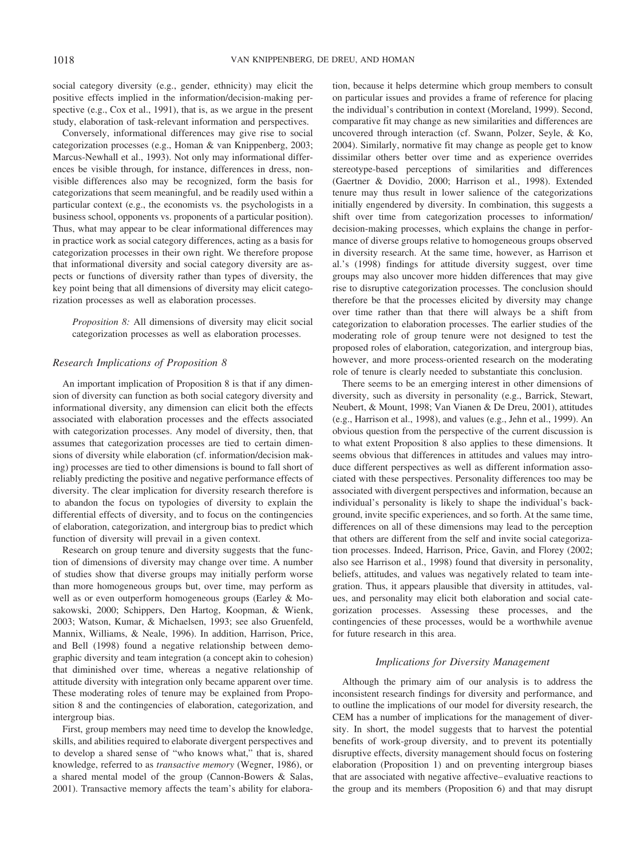social category diversity (e.g., gender, ethnicity) may elicit the positive effects implied in the information/decision-making perspective (e.g., Cox et al., 1991), that is, as we argue in the present study, elaboration of task-relevant information and perspectives.

Conversely, informational differences may give rise to social categorization processes (e.g., Homan & van Knippenberg, 2003; Marcus-Newhall et al., 1993). Not only may informational differences be visible through, for instance, differences in dress, nonvisible differences also may be recognized, form the basis for categorizations that seem meaningful, and be readily used within a particular context (e.g., the economists vs. the psychologists in a business school, opponents vs. proponents of a particular position). Thus, what may appear to be clear informational differences may in practice work as social category differences, acting as a basis for categorization processes in their own right. We therefore propose that informational diversity and social category diversity are aspects or functions of diversity rather than types of diversity, the key point being that all dimensions of diversity may elicit categorization processes as well as elaboration processes.

*Proposition 8:* All dimensions of diversity may elicit social categorization processes as well as elaboration processes.

#### *Research Implications of Proposition 8*

An important implication of Proposition 8 is that if any dimension of diversity can function as both social category diversity and informational diversity, any dimension can elicit both the effects associated with elaboration processes and the effects associated with categorization processes. Any model of diversity, then, that assumes that categorization processes are tied to certain dimensions of diversity while elaboration (cf. information/decision making) processes are tied to other dimensions is bound to fall short of reliably predicting the positive and negative performance effects of diversity. The clear implication for diversity research therefore is to abandon the focus on typologies of diversity to explain the differential effects of diversity, and to focus on the contingencies of elaboration, categorization, and intergroup bias to predict which function of diversity will prevail in a given context.

Research on group tenure and diversity suggests that the function of dimensions of diversity may change over time. A number of studies show that diverse groups may initially perform worse than more homogeneous groups but, over time, may perform as well as or even outperform homogeneous groups (Earley & Mosakowski, 2000; Schippers, Den Hartog, Koopman, & Wienk, 2003; Watson, Kumar, & Michaelsen, 1993; see also Gruenfeld, Mannix, Williams, & Neale, 1996). In addition, Harrison, Price, and Bell (1998) found a negative relationship between demographic diversity and team integration (a concept akin to cohesion) that diminished over time, whereas a negative relationship of attitude diversity with integration only became apparent over time. These moderating roles of tenure may be explained from Proposition 8 and the contingencies of elaboration, categorization, and intergroup bias.

First, group members may need time to develop the knowledge, skills, and abilities required to elaborate divergent perspectives and to develop a shared sense of "who knows what," that is, shared knowledge, referred to as *transactive memory* (Wegner, 1986), or a shared mental model of the group (Cannon-Bowers & Salas, 2001). Transactive memory affects the team's ability for elaboration, because it helps determine which group members to consult on particular issues and provides a frame of reference for placing the individual's contribution in context (Moreland, 1999). Second, comparative fit may change as new similarities and differences are uncovered through interaction (cf. Swann, Polzer, Seyle, & Ko, 2004). Similarly, normative fit may change as people get to know dissimilar others better over time and as experience overrides stereotype-based perceptions of similarities and differences (Gaertner & Dovidio, 2000; Harrison et al., 1998). Extended tenure may thus result in lower salience of the categorizations initially engendered by diversity. In combination, this suggests a shift over time from categorization processes to information/ decision-making processes, which explains the change in performance of diverse groups relative to homogeneous groups observed in diversity research. At the same time, however, as Harrison et al.'s (1998) findings for attitude diversity suggest, over time groups may also uncover more hidden differences that may give rise to disruptive categorization processes. The conclusion should therefore be that the processes elicited by diversity may change over time rather than that there will always be a shift from categorization to elaboration processes. The earlier studies of the moderating role of group tenure were not designed to test the proposed roles of elaboration, categorization, and intergroup bias, however, and more process-oriented research on the moderating role of tenure is clearly needed to substantiate this conclusion.

There seems to be an emerging interest in other dimensions of diversity, such as diversity in personality (e.g., Barrick, Stewart, Neubert, & Mount, 1998; Van Vianen & De Dreu, 2001), attitudes (e.g., Harrison et al., 1998), and values (e.g., Jehn et al., 1999). An obvious question from the perspective of the current discussion is to what extent Proposition 8 also applies to these dimensions. It seems obvious that differences in attitudes and values may introduce different perspectives as well as different information associated with these perspectives. Personality differences too may be associated with divergent perspectives and information, because an individual's personality is likely to shape the individual's background, invite specific experiences, and so forth. At the same time, differences on all of these dimensions may lead to the perception that others are different from the self and invite social categorization processes. Indeed, Harrison, Price, Gavin, and Florey (2002; also see Harrison et al., 1998) found that diversity in personality, beliefs, attitudes, and values was negatively related to team integration. Thus, it appears plausible that diversity in attitudes, values, and personality may elicit both elaboration and social categorization processes. Assessing these processes, and the contingencies of these processes, would be a worthwhile avenue for future research in this area.

#### *Implications for Diversity Management*

Although the primary aim of our analysis is to address the inconsistent research findings for diversity and performance, and to outline the implications of our model for diversity research, the CEM has a number of implications for the management of diversity. In short, the model suggests that to harvest the potential benefits of work-group diversity, and to prevent its potentially disruptive effects, diversity management should focus on fostering elaboration (Proposition 1) and on preventing intergroup biases that are associated with negative affective– evaluative reactions to the group and its members (Proposition 6) and that may disrupt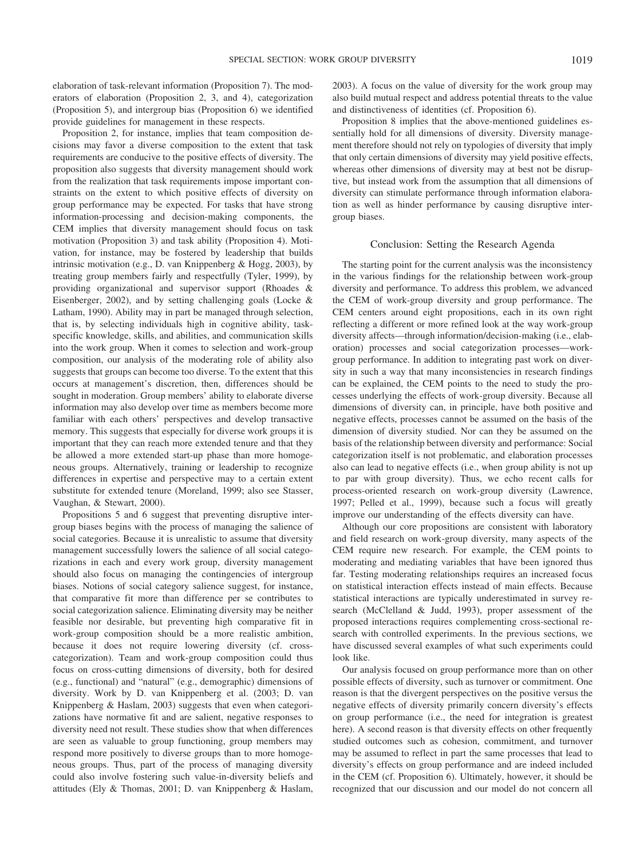elaboration of task-relevant information (Proposition 7). The moderators of elaboration (Proposition 2, 3, and 4), categorization (Proposition 5), and intergroup bias (Proposition 6) we identified provide guidelines for management in these respects.

Proposition 2, for instance, implies that team composition decisions may favor a diverse composition to the extent that task requirements are conducive to the positive effects of diversity. The proposition also suggests that diversity management should work from the realization that task requirements impose important constraints on the extent to which positive effects of diversity on group performance may be expected. For tasks that have strong information-processing and decision-making components, the CEM implies that diversity management should focus on task motivation (Proposition 3) and task ability (Proposition 4). Motivation, for instance, may be fostered by leadership that builds intrinsic motivation (e.g., D. van Knippenberg & Hogg, 2003), by treating group members fairly and respectfully (Tyler, 1999), by providing organizational and supervisor support (Rhoades & Eisenberger, 2002), and by setting challenging goals (Locke  $\&$ Latham, 1990). Ability may in part be managed through selection, that is, by selecting individuals high in cognitive ability, taskspecific knowledge, skills, and abilities, and communication skills into the work group. When it comes to selection and work-group composition, our analysis of the moderating role of ability also suggests that groups can become too diverse. To the extent that this occurs at management's discretion, then, differences should be sought in moderation. Group members' ability to elaborate diverse information may also develop over time as members become more familiar with each others' perspectives and develop transactive memory. This suggests that especially for diverse work groups it is important that they can reach more extended tenure and that they be allowed a more extended start-up phase than more homogeneous groups. Alternatively, training or leadership to recognize differences in expertise and perspective may to a certain extent substitute for extended tenure (Moreland, 1999; also see Stasser, Vaughan, & Stewart, 2000).

Propositions 5 and 6 suggest that preventing disruptive intergroup biases begins with the process of managing the salience of social categories. Because it is unrealistic to assume that diversity management successfully lowers the salience of all social categorizations in each and every work group, diversity management should also focus on managing the contingencies of intergroup biases. Notions of social category salience suggest, for instance, that comparative fit more than difference per se contributes to social categorization salience. Eliminating diversity may be neither feasible nor desirable, but preventing high comparative fit in work-group composition should be a more realistic ambition, because it does not require lowering diversity (cf. crosscategorization). Team and work-group composition could thus focus on cross-cutting dimensions of diversity, both for desired (e.g., functional) and "natural" (e.g., demographic) dimensions of diversity. Work by D. van Knippenberg et al. (2003; D. van Knippenberg & Haslam, 2003) suggests that even when categorizations have normative fit and are salient, negative responses to diversity need not result. These studies show that when differences are seen as valuable to group functioning, group members may respond more positively to diverse groups than to more homogeneous groups. Thus, part of the process of managing diversity could also involve fostering such value-in-diversity beliefs and attitudes (Ely & Thomas, 2001; D. van Knippenberg & Haslam,

2003). A focus on the value of diversity for the work group may also build mutual respect and address potential threats to the value and distinctiveness of identities (cf. Proposition 6).

Proposition 8 implies that the above-mentioned guidelines essentially hold for all dimensions of diversity. Diversity management therefore should not rely on typologies of diversity that imply that only certain dimensions of diversity may yield positive effects, whereas other dimensions of diversity may at best not be disruptive, but instead work from the assumption that all dimensions of diversity can stimulate performance through information elaboration as well as hinder performance by causing disruptive intergroup biases.

#### Conclusion: Setting the Research Agenda

The starting point for the current analysis was the inconsistency in the various findings for the relationship between work-group diversity and performance. To address this problem, we advanced the CEM of work-group diversity and group performance. The CEM centers around eight propositions, each in its own right reflecting a different or more refined look at the way work-group diversity affects—through information/decision-making (i.e., elaboration) processes and social categorization processes—workgroup performance. In addition to integrating past work on diversity in such a way that many inconsistencies in research findings can be explained, the CEM points to the need to study the processes underlying the effects of work-group diversity. Because all dimensions of diversity can, in principle, have both positive and negative effects, processes cannot be assumed on the basis of the dimension of diversity studied. Nor can they be assumed on the basis of the relationship between diversity and performance: Social categorization itself is not problematic, and elaboration processes also can lead to negative effects (i.e., when group ability is not up to par with group diversity). Thus, we echo recent calls for process-oriented research on work-group diversity (Lawrence, 1997; Pelled et al., 1999), because such a focus will greatly improve our understanding of the effects diversity can have.

Although our core propositions are consistent with laboratory and field research on work-group diversity, many aspects of the CEM require new research. For example, the CEM points to moderating and mediating variables that have been ignored thus far. Testing moderating relationships requires an increased focus on statistical interaction effects instead of main effects. Because statistical interactions are typically underestimated in survey research (McClelland & Judd, 1993), proper assessment of the proposed interactions requires complementing cross-sectional research with controlled experiments. In the previous sections, we have discussed several examples of what such experiments could look like.

Our analysis focused on group performance more than on other possible effects of diversity, such as turnover or commitment. One reason is that the divergent perspectives on the positive versus the negative effects of diversity primarily concern diversity's effects on group performance (i.e., the need for integration is greatest here). A second reason is that diversity effects on other frequently studied outcomes such as cohesion, commitment, and turnover may be assumed to reflect in part the same processes that lead to diversity's effects on group performance and are indeed included in the CEM (cf. Proposition 6). Ultimately, however, it should be recognized that our discussion and our model do not concern all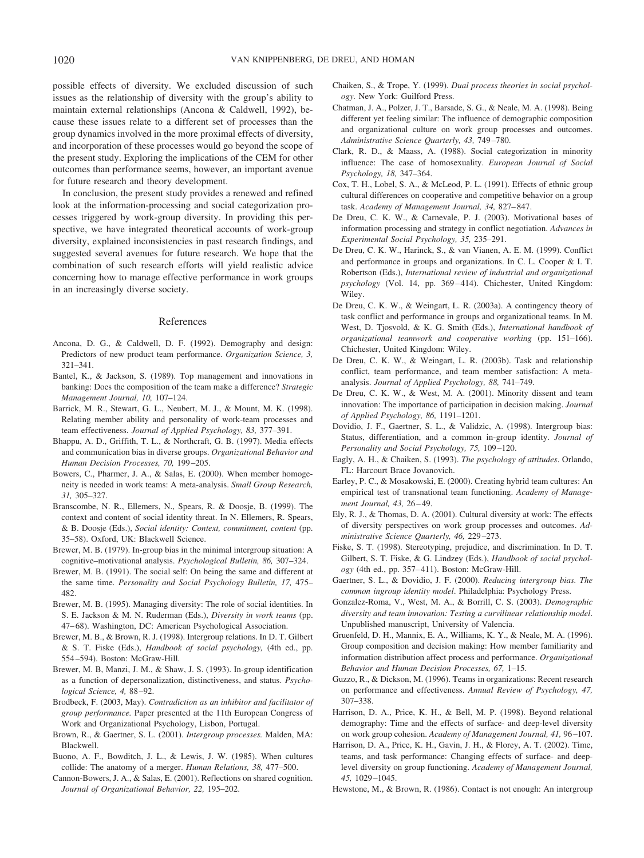possible effects of diversity. We excluded discussion of such issues as the relationship of diversity with the group's ability to maintain external relationships (Ancona & Caldwell, 1992), because these issues relate to a different set of processes than the group dynamics involved in the more proximal effects of diversity, and incorporation of these processes would go beyond the scope of the present study. Exploring the implications of the CEM for other outcomes than performance seems, however, an important avenue for future research and theory development.

In conclusion, the present study provides a renewed and refined look at the information-processing and social categorization processes triggered by work-group diversity. In providing this perspective, we have integrated theoretical accounts of work-group diversity, explained inconsistencies in past research findings, and suggested several avenues for future research. We hope that the combination of such research efforts will yield realistic advice concerning how to manage effective performance in work groups in an increasingly diverse society.

#### References

- Ancona, D. G., & Caldwell, D. F. (1992). Demography and design: Predictors of new product team performance. *Organization Science, 3,* 321–341.
- Bantel, K., & Jackson, S. (1989). Top management and innovations in banking: Does the composition of the team make a difference? *Strategic Management Journal, 10,* 107–124.
- Barrick, M. R., Stewart, G. L., Neubert, M. J., & Mount, M. K. (1998). Relating member ability and personality of work-team processes and team effectiveness. *Journal of Applied Psychology, 83,* 377–391.
- Bhappu, A. D., Griffith, T. L., & Northcraft, G. B. (1997). Media effects and communication bias in diverse groups. *Organizational Behavior and Human Decision Processes, 70,* 199 –205.
- Bowers, C., Pharmer, J. A., & Salas, E. (2000). When member homogeneity is needed in work teams: A meta-analysis. *Small Group Research, 31,* 305–327.
- Branscombe, N. R., Ellemers, N., Spears, R. & Doosje, B. (1999). The context and content of social identity threat. In N. Ellemers, R. Spears, & B. Doosje (Eds.), *Social identity: Context, commitment, content* (pp. 35–58). Oxford, UK: Blackwell Science.
- Brewer, M. B. (1979). In-group bias in the minimal intergroup situation: A cognitive–motivational analysis. *Psychological Bulletin, 86,* 307–324.
- Brewer, M. B. (1991). The social self: On being the same and different at the same time. *Personality and Social Psychology Bulletin, 17,* 475– 482.
- Brewer, M. B. (1995). Managing diversity: The role of social identities. In S. E. Jackson & M. N. Ruderman (Eds.), *Diversity in work teams* (pp. 47– 68). Washington, DC: American Psychological Association.
- Brewer, M. B., & Brown, R. J. (1998). Intergroup relations. In D. T. Gilbert & S. T. Fiske (Eds.), *Handbook of social psychology,* (4th ed., pp. 554 –594). Boston: McGraw-Hill.
- Brewer, M. B, Manzi, J. M., & Shaw, J. S. (1993). In-group identification as a function of depersonalization, distinctiveness, and status. *Psychological Science, 4,* 88 –92.
- Brodbeck, F. (2003, May). *Contradiction as an inhibitor and facilitator of group performance.* Paper presented at the 11th European Congress of Work and Organizational Psychology, Lisbon, Portugal.
- Brown, R., & Gaertner, S. L. (2001). *Intergroup processes.* Malden, MA: Blackwell.
- Buono, A. F., Bowditch, J. L., & Lewis, J. W. (1985). When cultures collide: The anatomy of a merger. *Human Relations, 38,* 477–500.
- Cannon-Bowers, J. A., & Salas, E. (2001). Reflections on shared cognition. *Journal of Organizational Behavior, 22,* 195–202.
- Chaiken, S., & Trope, Y. (1999). *Dual process theories in social psychology.* New York: Guilford Press.
- Chatman, J. A., Polzer, J. T., Barsade, S. G., & Neale, M. A. (1998). Being different yet feeling similar: The influence of demographic composition and organizational culture on work group processes and outcomes. *Administrative Science Quarterly, 43,* 749 –780.
- Clark, R. D., & Maass, A. (1988). Social categorization in minority influence: The case of homosexuality. *European Journal of Social Psychology, 18,* 347–364.
- Cox, T. H., Lobel, S. A., & McLeod, P. L. (1991). Effects of ethnic group cultural differences on cooperative and competitive behavior on a group task. *Academy of Management Journal, 34,* 827– 847.
- De Dreu, C. K. W., & Carnevale, P. J. (2003). Motivational bases of information processing and strategy in conflict negotiation. *Advances in Experimental Social Psychology, 35,* 235–291.
- De Dreu, C. K. W., Harinck, S., & van Vianen, A. E. M. (1999). Conflict and performance in groups and organizations. In C. L. Cooper & I. T. Robertson (Eds.), *International review of industrial and organizational psychology* (Vol. 14, pp. 369 – 414). Chichester, United Kingdom: Wiley.
- De Dreu, C. K. W., & Weingart, L. R. (2003a). A contingency theory of task conflict and performance in groups and organizational teams. In M. West, D. Tjosvold, & K. G. Smith (Eds.), *International handbook of organizational teamwork and cooperative working* (pp. 151–166). Chichester, United Kingdom: Wiley.
- De Dreu, C. K. W., & Weingart, L. R. (2003b). Task and relationship conflict, team performance, and team member satisfaction: A metaanalysis. *Journal of Applied Psychology, 88,* 741–749.
- De Dreu, C. K. W., & West, M. A. (2001). Minority dissent and team innovation: The importance of participation in decision making. *Journal of Applied Psychology, 86,* 1191–1201.
- Dovidio, J. F., Gaertner, S. L., & Validzic, A. (1998). Intergroup bias: Status, differentiation, and a common in-group identity. *Journal of Personality and Social Psychology, 75,* 109 –120.
- Eagly, A. H., & Chaiken, S. (1993). *The psychology of attitudes*. Orlando, FL: Harcourt Brace Jovanovich.
- Earley, P. C., & Mosakowski, E. (2000). Creating hybrid team cultures: An empirical test of transnational team functioning. *Academy of Management Journal, 43,* 26 – 49.
- Ely, R. J., & Thomas, D. A. (2001). Cultural diversity at work: The effects of diversity perspectives on work group processes and outcomes. *Administrative Science Quarterly, 46,* 229 –273.
- Fiske, S. T. (1998). Stereotyping, prejudice, and discrimination. In D. T. Gilbert, S. T. Fiske, & G. Lindzey (Eds.), *Handbook of social psychology* (4th ed., pp. 357– 411). Boston: McGraw-Hill.
- Gaertner, S. L., & Dovidio, J. F. (2000). *Reducing intergroup bias. The common ingroup identity model*. Philadelphia: Psychology Press.
- Gonzalez-Roma, V., West, M. A., & Borrill, C. S. (2003). *Demographic diversity and team innovation: Testing a curvilinear relationship model*. Unpublished manuscript, University of Valencia.
- Gruenfeld, D. H., Mannix, E. A., Williams, K. Y., & Neale, M. A. (1996). Group composition and decision making: How member familiarity and information distribution affect process and performance. *Organizational Behavior and Human Decision Processes, 67,* 1–15.
- Guzzo, R., & Dickson, M. (1996). Teams in organizations: Recent research on performance and effectiveness. *Annual Review of Psychology, 47,* 307–338.
- Harrison, D. A., Price, K. H., & Bell, M. P. (1998). Beyond relational demography: Time and the effects of surface- and deep-level diversity on work group cohesion. *Academy of Management Journal, 41,* 96 –107.
- Harrison, D. A., Price, K. H., Gavin, J. H., & Florey, A. T. (2002). Time, teams, and task performance: Changing effects of surface- and deeplevel diversity on group functioning. *Academy of Management Journal, 45,* 1029 –1045.
- Hewstone, M., & Brown, R. (1986). Contact is not enough: An intergroup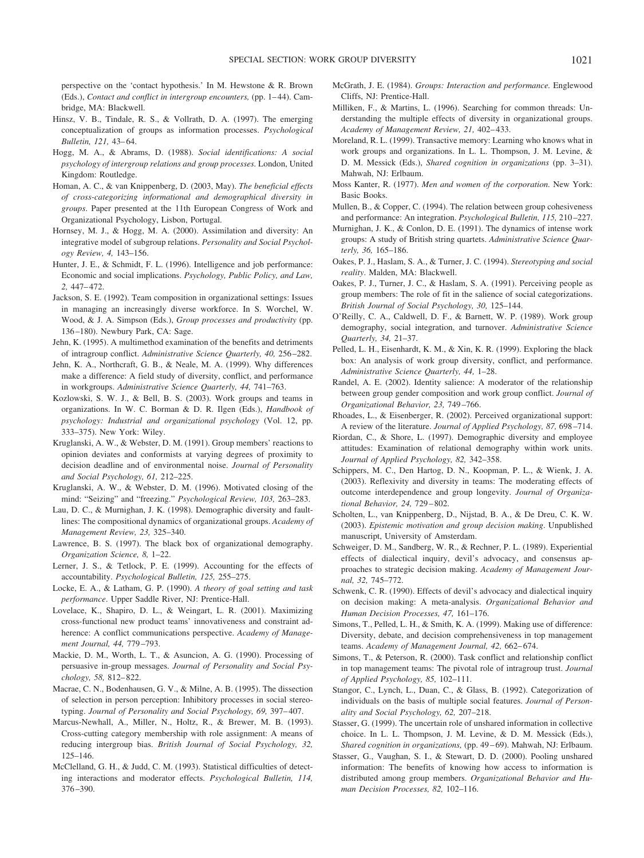perspective on the 'contact hypothesis.' In M. Hewstone & R. Brown (Eds.), *Contact and conflict in intergroup encounters*, (pp. 1–44). Cambridge, MA: Blackwell.

- Hinsz, V. B., Tindale, R. S., & Vollrath, D. A. (1997). The emerging conceptualization of groups as information processes. *Psychological Bulletin, 121,* 43– 64.
- Hogg, M. A., & Abrams, D. (1988). *Social identifications: A social psychology of intergroup relations and group processes.* London, United Kingdom: Routledge.
- Homan, A. C., & van Knippenberg, D. (2003, May). *The beneficial effects of cross-categorizing informational and demographical diversity in groups*. Paper presented at the 11th European Congress of Work and Organizational Psychology, Lisbon, Portugal.
- Hornsey, M. J., & Hogg, M. A. (2000). Assimilation and diversity: An integrative model of subgroup relations. *Personality and Social Psychology Review, 4,* 143–156.
- Hunter, J. E., & Schmidt, F. L. (1996). Intelligence and job performance: Economic and social implications. *Psychology, Public Policy, and Law, 2,* 447– 472.
- Jackson, S. E. (1992). Team composition in organizational settings: Issues in managing an increasingly diverse workforce. In S. Worchel, W. Wood, & J. A. Simpson (Eds.), *Group processes and productivity* (pp. 136 –180). Newbury Park, CA: Sage.
- Jehn, K. (1995). A multimethod examination of the benefits and detriments of intragroup conflict. *Administrative Science Quarterly, 40,* 256 –282.
- Jehn, K. A., Northcraft, G. B., & Neale, M. A. (1999). Why differences make a difference: A field study of diversity, conflict, and performance in workgroups. *Administrative Science Quarterly, 44,* 741–763.
- Kozlowski, S. W. J., & Bell, B. S. (2003). Work groups and teams in organizations. In W. C. Borman & D. R. Ilgen (Eds.), *Handbook of psychology: Industrial and organizational psychology* (Vol. 12, pp. 333–375). New York: Wiley.
- Kruglanski, A. W., & Webster, D. M. (1991). Group members' reactions to opinion deviates and conformists at varying degrees of proximity to decision deadline and of environmental noise. *Journal of Personality and Social Psychology, 61,* 212–225.
- Kruglanski, A. W., & Webster, D. M. (1996). Motivated closing of the mind: "Seizing" and "freezing." *Psychological Review, 103,* 263–283.
- Lau, D. C., & Murnighan, J. K. (1998). Demographic diversity and faultlines: The compositional dynamics of organizational groups. *Academy of Management Review, 23,* 325–340.
- Lawrence, B. S. (1997). The black box of organizational demography. *Organization Science, 8,* 1–22.
- Lerner, J. S., & Tetlock, P. E. (1999). Accounting for the effects of accountability. *Psychological Bulletin, 125,* 255–275.
- Locke, E. A., & Latham, G. P. (1990). *A theory of goal setting and task performance*. Upper Saddle River, NJ: Prentice-Hall.
- Lovelace, K., Shapiro, D. L., & Weingart, L. R. (2001). Maximizing cross-functional new product teams' innovativeness and constraint adherence: A conflict communications perspective. *Academy of Management Journal, 44,* 779 –793.
- Mackie, D. M., Worth, L. T., & Asuncion, A. G. (1990). Processing of persuasive in-group messages. *Journal of Personality and Social Psychology, 58,* 812– 822.
- Macrae, C. N., Bodenhausen, G. V., & Milne, A. B. (1995). The dissection of selection in person perception: Inhibitory processes in social stereotyping. *Journal of Personality and Social Psychology, 69,* 397– 407.
- Marcus-Newhall, A., Miller, N., Holtz, R., & Brewer, M. B. (1993). Cross-cutting category membership with role assignment: A means of reducing intergroup bias. *British Journal of Social Psychology, 32,* 125–146.
- McClelland, G. H., & Judd, C. M. (1993). Statistical difficulties of detecting interactions and moderator effects. *Psychological Bulletin, 114,* 376 –390.
- McGrath, J. E. (1984). *Groups: Interaction and performance.* Englewood Cliffs, NJ: Prentice-Hall.
- Milliken, F., & Martins, L. (1996). Searching for common threads: Understanding the multiple effects of diversity in organizational groups. *Academy of Management Review, 21,* 402– 433.
- Moreland, R. L. (1999). Transactive memory: Learning who knows what in work groups and organizations. In L. L. Thompson, J. M. Levine, & D. M. Messick (Eds.), *Shared cognition in organizations* (pp. 3–31). Mahwah, NJ: Erlbaum.
- Moss Kanter, R. (1977). *Men and women of the corporation.* New York: Basic Books.
- Mullen, B., & Copper, C. (1994). The relation between group cohesiveness and performance: An integration. *Psychological Bulletin, 115,* 210 –227.
- Murnighan, J. K., & Conlon, D. E. (1991). The dynamics of intense work groups: A study of British string quartets. *Administrative Science Quarterly, 36,* 165–186.
- Oakes, P. J., Haslam, S. A., & Turner, J. C. (1994). *Stereotyping and social reality*. Malden, MA: Blackwell.
- Oakes, P. J., Turner, J. C., & Haslam, S. A. (1991). Perceiving people as group members: The role of fit in the salience of social categorizations. *British Journal of Social Psychology, 30,* 125–144.
- O'Reilly, C. A., Caldwell, D. F., & Barnett, W. P. (1989). Work group demography, social integration, and turnover. *Administrative Science Quarterly, 34,* 21–37.
- Pelled, L. H., Eisenhardt, K. M., & Xin, K. R. (1999). Exploring the black box: An analysis of work group diversity, conflict, and performance. *Administrative Science Quarterly, 44,* 1–28.
- Randel, A. E. (2002). Identity salience: A moderator of the relationship between group gender composition and work group conflict. *Journal of Organizational Behavior, 23,* 749 –766.
- Rhoades, L., & Eisenberger, R. (2002). Perceived organizational support: A review of the literature. *Journal of Applied Psychology, 87,* 698 –714.
- Riordan, C., & Shore, L. (1997). Demographic diversity and employee attitudes: Examination of relational demography within work units. *Journal of Applied Psychology, 82,* 342–358.
- Schippers, M. C., Den Hartog, D. N., Koopman, P. L., & Wienk, J. A. (2003). Reflexivity and diversity in teams: The moderating effects of outcome interdependence and group longevity. *Journal of Organizational Behavior, 24,* 729 – 802.
- Scholten, L., van Knippenberg, D., Nijstad, B. A., & De Dreu, C. K. W. (2003). *Epistemic motivation and group decision making*. Unpublished manuscript, University of Amsterdam.
- Schweiger, D. M., Sandberg, W. R., & Rechner, P. L. (1989). Experiential effects of dialectical inquiry, devil's advocacy, and consensus approaches to strategic decision making. *Academy of Management Journal, 32,* 745–772.
- Schwenk, C. R. (1990). Effects of devil's advocacy and dialectical inquiry on decision making: A meta-analysis. *Organizational Behavior and Human Decision Processes, 47,* 161–176.
- Simons, T., Pelled, L. H., & Smith, K. A. (1999). Making use of difference: Diversity, debate, and decision comprehensiveness in top management teams. Academy of Management Journal, 42, 662-674.
- Simons, T., & Peterson, R. (2000). Task conflict and relationship conflict in top management teams: The pivotal role of intragroup trust. *Journal of Applied Psychology, 85,* 102–111.
- Stangor, C., Lynch, L., Duan, C., & Glass, B. (1992). Categorization of individuals on the basis of multiple social features. *Journal of Personality and Social Psychology, 62,* 207–218.
- Stasser, G. (1999). The uncertain role of unshared information in collective choice. In L. L. Thompson, J. M. Levine, & D. M. Messick (Eds.), *Shared cognition in organizations,* (pp. 49 – 69). Mahwah, NJ: Erlbaum.
- Stasser, G., Vaughan, S. I., & Stewart, D. D. (2000). Pooling unshared information: The benefits of knowing how access to information is distributed among group members. *Organizational Behavior and Human Decision Processes, 82,* 102–116.